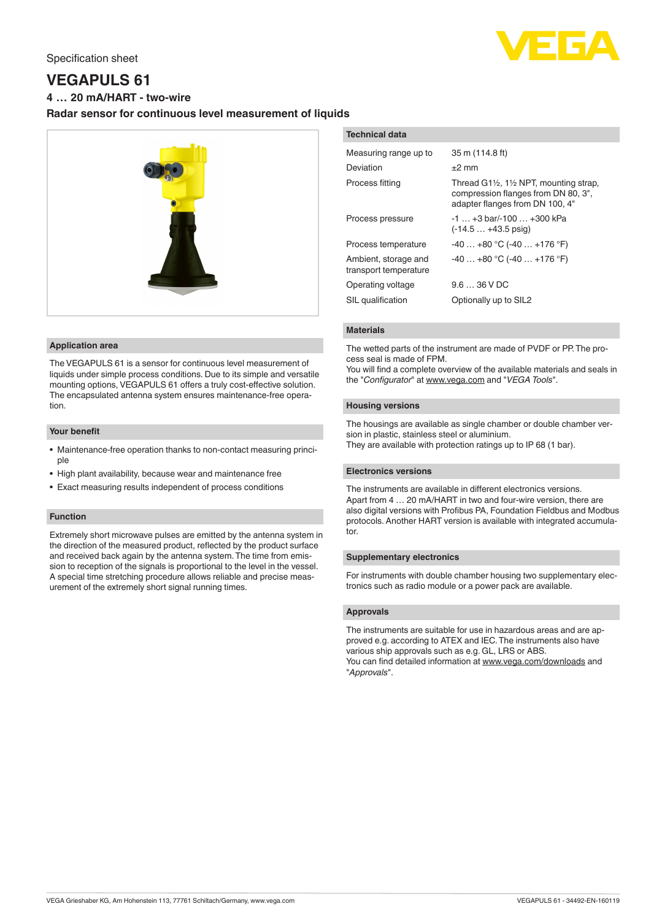

# **VEGAPULS 61**

**4 … 20 mA/HART - two-wire**

# **Radar sensor for continuous level measurement of liquids**



#### **Application area**

The VEGAPULS 61 is a sensor for continuous level measurement of liquids under simple process conditions. Due to its simple and versatile mounting options, VEGAPULS 61 offers a truly cost-effective solution. The encapsulated antenna system ensures maintenance-free operation.

#### **Your benefit**

- Maintenance-free operation thanks to non-contact measuring principle
- High plant availability, because wear and maintenance free
- Exact measuring results independent of process conditions

#### **Function**

Extremely short microwave pulses are emitted by the antenna system in the direction of the measured product, reflected by the product surface and received back again by the antenna system. The time from emission to reception of the signals is proportional to the level in the vessel. A special time stretching procedure allows reliable and precise measurement of the extremely short signal running times.

| <b>Technical data</b>                         |                                                                                                                                         |
|-----------------------------------------------|-----------------------------------------------------------------------------------------------------------------------------------------|
| Measuring range up to                         | 35 m (114.8 ft)                                                                                                                         |
| Deviation                                     | $\pm 2$ mm                                                                                                                              |
| Process fitting                               | Thread $G1\frac{1}{2}$ , 1 $\frac{1}{2}$ NPT, mounting strap,<br>compression flanges from DN 80, 3",<br>adapter flanges from DN 100, 4" |
| Process pressure                              | $-1$ $+3$ bar/ $-100$ $+300$ kPa<br>$(-14.5 +43.5)$ psig)                                                                               |
| Process temperature                           | $-40+80$ °C (-40  +176 °F)                                                                                                              |
| Ambient, storage and<br>transport temperature | $-40+80$ °C ( $-40+176$ °F)                                                                                                             |
| Operating voltage                             | $9.636$ V DC                                                                                                                            |
| SIL qualification                             | Optionally up to SIL2                                                                                                                   |

## **Materials**

The wetted parts of the instrument are made of PVDF or PP. The process seal is made of FPM.

You will find a complete overview of the available materials and seals in the "*Configurator*" at [www.vega.com](http://www.vega.com) and "*VEGA Tools*".

#### **Housing versions**

The housings are available as single chamber or double chamber version in plastic, stainless steel or aluminium. They are available with protection ratings up to IP 68 (1 bar).

## **Electronics versions**

The instruments are available in different electronics versions. Apart from 4 … 20 mA/HART in two and four-wire version, there are also digital versions with Profibus PA, Foundation Fieldbus and Modbus protocols. Another HART version is available with integrated accumulator.

#### **Supplementary electronics**

For instruments with double chamber housing two supplementary electronics such as radio module or a power pack are available.

## **Approvals**

The instruments are suitable for use in hazardous areas and are approved e.g. according to ATEX and IEC. The instruments also have various ship approvals such as e.g. GL, LRS or ABS. You can find detailed information at [www.vega.com/downloads](http://www.vega.com/downloads) and "*Approvals*".